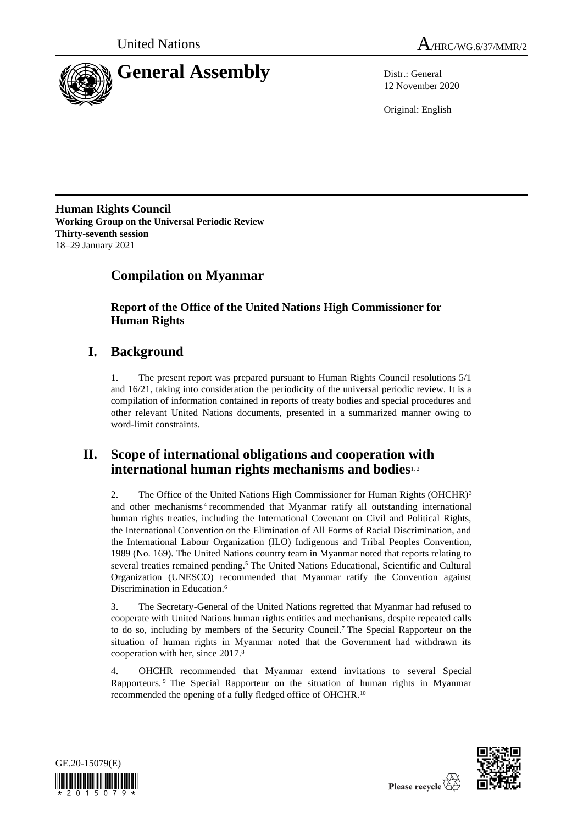



12 November 2020

Original: English

**Human Rights Council Working Group on the Universal Periodic Review Thirty-seventh session** 18–29 January 2021

# **Compilation on Myanmar**

**Report of the Office of the United Nations High Commissioner for Human Rights**

# **I. Background**

1. The present report was prepared pursuant to Human Rights Council resolutions 5/1 and 16/21, taking into consideration the periodicity of the universal periodic review. It is a compilation of information contained in reports of treaty bodies and special procedures and other relevant United Nations documents, presented in a summarized manner owing to word-limit constraints.

# **II. Scope of international obligations and cooperation with international human rights mechanisms and bodies**1, 2

2. The Office of the United Nations High Commissioner for Human Rights (OHCHR)<sup>3</sup> and other mechanisms<sup>4</sup> recommended that Myanmar ratify all outstanding international human rights treaties, including the International Covenant on Civil and Political Rights, the International Convention on the Elimination of All Forms of Racial Discrimination, and the International Labour Organization (ILO) Indigenous and Tribal Peoples Convention, 1989 (No. 169). The United Nations country team in Myanmar noted that reports relating to several treaties remained pending.<sup>5</sup> The United Nations Educational, Scientific and Cultural Organization (UNESCO) recommended that Myanmar ratify the Convention against Discrimination in Education.<sup>6</sup>

3. The Secretary-General of the United Nations regretted that Myanmar had refused to cooperate with United Nations human rights entities and mechanisms, despite repeated calls to do so, including by members of the Security Council.<sup>7</sup> The Special Rapporteur on the situation of human rights in Myanmar noted that the Government had withdrawn its cooperation with her, since 2017.<sup>8</sup>

4. OHCHR recommended that Myanmar extend invitations to several Special Rapporteurs. <sup>9</sup> The Special Rapporteur on the situation of human rights in Myanmar recommended the opening of a fully fledged office of OHCHR.<sup>10</sup>



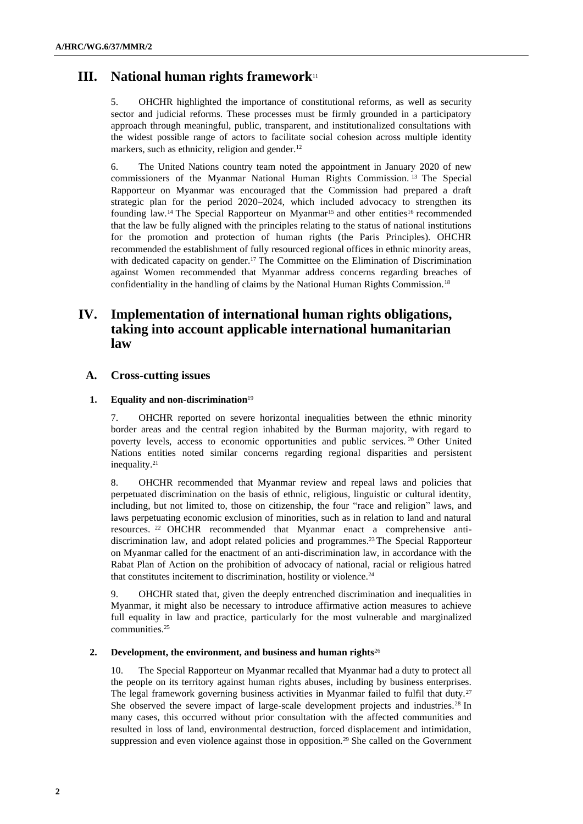# **III. National human rights framework**<sup>11</sup>

5. OHCHR highlighted the importance of constitutional reforms, as well as security sector and judicial reforms. These processes must be firmly grounded in a participatory approach through meaningful, public, transparent, and institutionalized consultations with the widest possible range of actors to facilitate social cohesion across multiple identity markers, such as ethnicity, religion and gender.<sup>12</sup>

6. The United Nations country team noted the appointment in January 2020 of new commissioners of the Myanmar National Human Rights Commission. <sup>13</sup> The Special Rapporteur on Myanmar was encouraged that the Commission had prepared a draft strategic plan for the period 2020–2024, which included advocacy to strengthen its founding law.<sup>14</sup> The Special Rapporteur on Myanmar<sup>15</sup> and other entities<sup>16</sup> recommended that the law be fully aligned with the principles relating to the status of national institutions for the promotion and protection of human rights (the Paris Principles). OHCHR recommended the establishment of fully resourced regional offices in ethnic minority areas, with dedicated capacity on gender.<sup>17</sup> The Committee on the Elimination of Discrimination against Women recommended that Myanmar address concerns regarding breaches of confidentiality in the handling of claims by the National Human Rights Commission.<sup>18</sup>

# **IV. Implementation of international human rights obligations, taking into account applicable international humanitarian law**

# **A. Cross-cutting issues**

# **1. Equality and non-discrimination**<sup>19</sup>

7. OHCHR reported on severe horizontal inequalities between the ethnic minority border areas and the central region inhabited by the Burman majority, with regard to poverty levels, access to economic opportunities and public services. <sup>20</sup> Other United Nations entities noted similar concerns regarding regional disparities and persistent inequality.<sup>21</sup>

8. OHCHR recommended that Myanmar review and repeal laws and policies that perpetuated discrimination on the basis of ethnic, religious, linguistic or cultural identity, including, but not limited to, those on citizenship, the four "race and religion" laws, and laws perpetuating economic exclusion of minorities, such as in relation to land and natural resources. <sup>22</sup> OHCHR recommended that Myanmar enact a comprehensive antidiscrimination law, and adopt related policies and programmes.<sup>23</sup> The Special Rapporteur on Myanmar called for the enactment of an anti-discrimination law, in accordance with the Rabat Plan of Action on the prohibition of advocacy of national, racial or religious hatred that constitutes incitement to discrimination, hostility or violence.<sup>24</sup>

9. OHCHR stated that, given the deeply entrenched discrimination and inequalities in Myanmar, it might also be necessary to introduce affirmative action measures to achieve full equality in law and practice, particularly for the most vulnerable and marginalized communities.<sup>25</sup>

## **2. Development, the environment, and business and human rights**<sup>26</sup>

10. The Special Rapporteur on Myanmar recalled that Myanmar had a duty to protect all the people on its territory against human rights abuses, including by business enterprises. The legal framework governing business activities in Myanmar failed to fulfil that duty.<sup>27</sup> She observed the severe impact of large-scale development projects and industries.<sup>28</sup> In many cases, this occurred without prior consultation with the affected communities and resulted in loss of land, environmental destruction, forced displacement and intimidation, suppression and even violence against those in opposition.<sup>29</sup> She called on the Government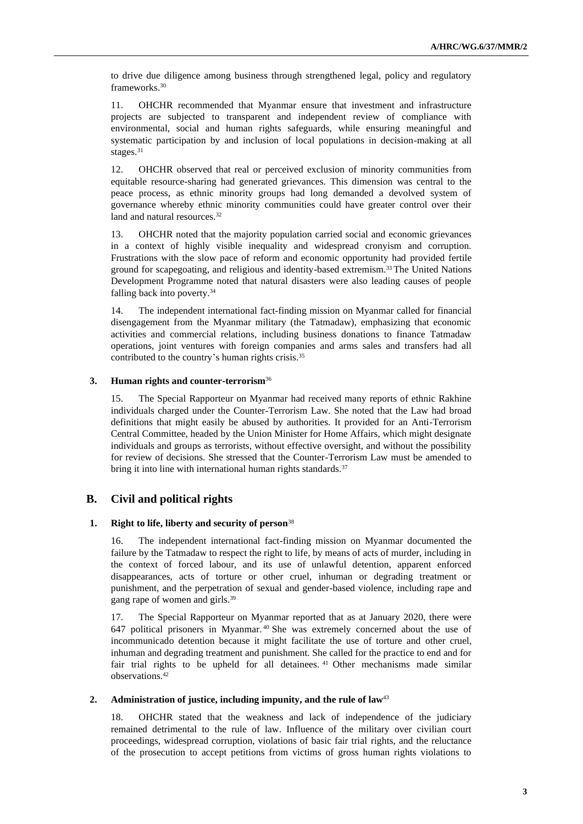to drive due diligence among business through strengthened legal, policy and regulatory frameworks.<sup>30</sup>

11. OHCHR recommended that Myanmar ensure that investment and infrastructure projects are subjected to transparent and independent review of compliance with environmental, social and human rights safeguards, while ensuring meaningful and systematic participation by and inclusion of local populations in decision-making at all stages.<sup>31</sup>

12. OHCHR observed that real or perceived exclusion of minority communities from equitable resource-sharing had generated grievances. This dimension was central to the peace process, as ethnic minority groups had long demanded a devolved system of governance whereby ethnic minority communities could have greater control over their land and natural resources.<sup>32</sup>

13. OHCHR noted that the majority population carried social and economic grievances in a context of highly visible inequality and widespread cronyism and corruption. Frustrations with the slow pace of reform and economic opportunity had provided fertile ground for scapegoating, and religious and identity-based extremism.<sup>33</sup> The United Nations Development Programme noted that natural disasters were also leading causes of people falling back into poverty.<sup>34</sup>

14. The independent international fact-finding mission on Myanmar called for financial disengagement from the Myanmar military (the Tatmadaw), emphasizing that economic activities and commercial relations, including business donations to finance Tatmadaw operations, joint ventures with foreign companies and arms sales and transfers had all contributed to the country's human rights crisis.<sup>35</sup>

# **3. Human rights and counter-terrorism**<sup>36</sup>

15. The Special Rapporteur on Myanmar had received many reports of ethnic Rakhine individuals charged under the Counter-Terrorism Law. She noted that the Law had broad definitions that might easily be abused by authorities. It provided for an Anti-Terrorism Central Committee, headed by the Union Minister for Home Affairs, which might designate individuals and groups as terrorists, without effective oversight, and without the possibility for review of decisions. She stressed that the Counter-Terrorism Law must be amended to bring it into line with international human rights standards.<sup>37</sup>

# **B. Civil and political rights**

#### **1. Right to life, liberty and security of person**<sup>38</sup>

16. The independent international fact-finding mission on Myanmar documented the failure by the Tatmadaw to respect the right to life, by means of acts of murder, including in the context of forced labour, and its use of unlawful detention, apparent enforced disappearances, acts of torture or other cruel, inhuman or degrading treatment or punishment, and the perpetration of sexual and gender-based violence, including rape and gang rape of women and girls.<sup>39</sup>

17. The Special Rapporteur on Myanmar reported that as at January 2020, there were 647 political prisoners in Myanmar. <sup>40</sup> She was extremely concerned about the use of incommunicado detention because it might facilitate the use of torture and other cruel, inhuman and degrading treatment and punishment. She called for the practice to end and for fair trial rights to be upheld for all detainees. <sup>41</sup> Other mechanisms made similar observations.<sup>42</sup>

# **2. Administration of justice, including impunity, and the rule of law**<sup>43</sup>

18. OHCHR stated that the weakness and lack of independence of the judiciary remained detrimental to the rule of law. Influence of the military over civilian court proceedings, widespread corruption, violations of basic fair trial rights, and the reluctance of the prosecution to accept petitions from victims of gross human rights violations to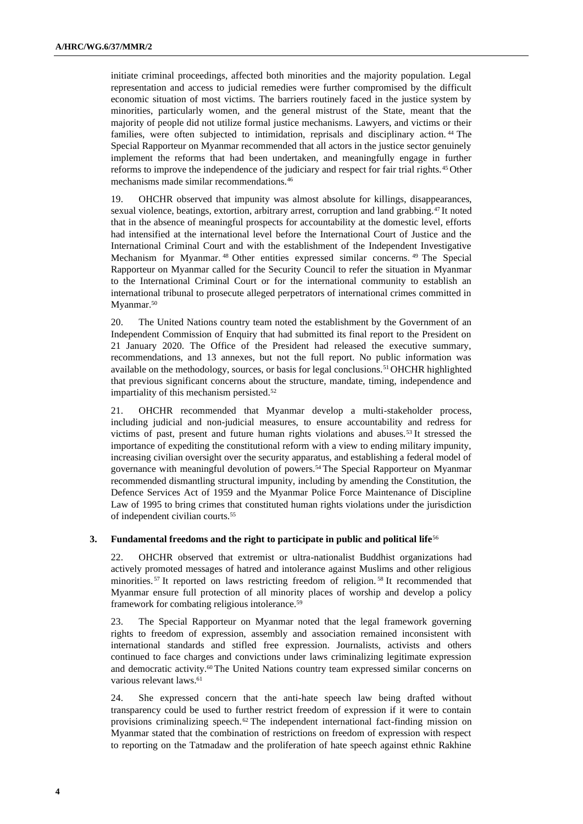initiate criminal proceedings, affected both minorities and the majority population. Legal representation and access to judicial remedies were further compromised by the difficult economic situation of most victims. The barriers routinely faced in the justice system by minorities, particularly women, and the general mistrust of the State, meant that the majority of people did not utilize formal justice mechanisms. Lawyers, and victims or their families, were often subjected to intimidation, reprisals and disciplinary action.<sup>44</sup> The Special Rapporteur on Myanmar recommended that all actors in the justice sector genuinely implement the reforms that had been undertaken, and meaningfully engage in further reforms to improve the independence of the judiciary and respect for fair trial rights.<sup>45</sup> Other mechanisms made similar recommendations.<sup>46</sup>

19. OHCHR observed that impunity was almost absolute for killings, disappearances, sexual violence, beatings, extortion, arbitrary arrest, corruption and land grabbing.<sup>47</sup> It noted that in the absence of meaningful prospects for accountability at the domestic level, efforts had intensified at the international level before the International Court of Justice and the International Criminal Court and with the establishment of the Independent Investigative Mechanism for Myanmar. <sup>48</sup> Other entities expressed similar concerns. <sup>49</sup> The Special Rapporteur on Myanmar called for the Security Council to refer the situation in Myanmar to the International Criminal Court or for the international community to establish an international tribunal to prosecute alleged perpetrators of international crimes committed in Myanmar.<sup>50</sup>

20. The United Nations country team noted the establishment by the Government of an Independent Commission of Enquiry that had submitted its final report to the President on 21 January 2020. The Office of the President had released the executive summary, recommendations, and 13 annexes, but not the full report. No public information was available on the methodology, sources, or basis for legal conclusions.<sup>51</sup> OHCHR highlighted that previous significant concerns about the structure, mandate, timing, independence and impartiality of this mechanism persisted.<sup>52</sup>

21. OHCHR recommended that Myanmar develop a multi-stakeholder process, including judicial and non-judicial measures, to ensure accountability and redress for victims of past, present and future human rights violations and abuses.<sup>53</sup> It stressed the importance of expediting the constitutional reform with a view to ending military impunity, increasing civilian oversight over the security apparatus, and establishing a federal model of governance with meaningful devolution of powers.<sup>54</sup> The Special Rapporteur on Myanmar recommended dismantling structural impunity, including by amending the Constitution, the Defence Services Act of 1959 and the Myanmar Police Force Maintenance of Discipline Law of 1995 to bring crimes that constituted human rights violations under the jurisdiction of independent civilian courts.<sup>55</sup>

## **3. Fundamental freedoms and the right to participate in public and political life**<sup>56</sup>

22. OHCHR observed that extremist or ultra-nationalist Buddhist organizations had actively promoted messages of hatred and intolerance against Muslims and other religious minorities. <sup>57</sup> It reported on laws restricting freedom of religion. <sup>58</sup> It recommended that Myanmar ensure full protection of all minority places of worship and develop a policy framework for combating religious intolerance.<sup>59</sup>

23. The Special Rapporteur on Myanmar noted that the legal framework governing rights to freedom of expression, assembly and association remained inconsistent with international standards and stifled free expression. Journalists, activists and others continued to face charges and convictions under laws criminalizing legitimate expression and democratic activity.<sup>60</sup> The United Nations country team expressed similar concerns on various relevant laws.<sup>61</sup>

24. She expressed concern that the anti-hate speech law being drafted without transparency could be used to further restrict freedom of expression if it were to contain provisions criminalizing speech.<sup>62</sup> The independent international fact-finding mission on Myanmar stated that the combination of restrictions on freedom of expression with respect to reporting on the Tatmadaw and the proliferation of hate speech against ethnic Rakhine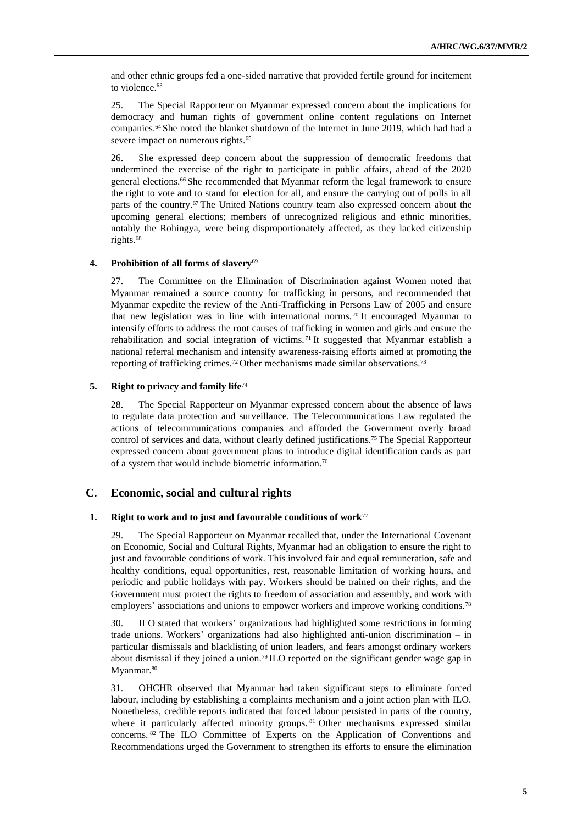and other ethnic groups fed a one-sided narrative that provided fertile ground for incitement to violence.<sup>63</sup>

25. The Special Rapporteur on Myanmar expressed concern about the implications for democracy and human rights of government online content regulations on Internet companies.<sup>64</sup> She noted the blanket shutdown of the Internet in June 2019, which had had a severe impact on numerous rights.<sup>65</sup>

26. She expressed deep concern about the suppression of democratic freedoms that undermined the exercise of the right to participate in public affairs, ahead of the 2020 general elections.<sup>66</sup> She recommended that Myanmar reform the legal framework to ensure the right to vote and to stand for election for all, and ensure the carrying out of polls in all parts of the country.<sup>67</sup> The United Nations country team also expressed concern about the upcoming general elections; members of unrecognized religious and ethnic minorities, notably the Rohingya, were being disproportionately affected, as they lacked citizenship rights.<sup>68</sup>

## **4. Prohibition of all forms of slavery**<sup>69</sup>

27. The Committee on the Elimination of Discrimination against Women noted that Myanmar remained a source country for trafficking in persons, and recommended that Myanmar expedite the review of the Anti-Trafficking in Persons Law of 2005 and ensure that new legislation was in line with international norms. <sup>70</sup> It encouraged Myanmar to intensify efforts to address the root causes of trafficking in women and girls and ensure the rehabilitation and social integration of victims. <sup>71</sup> It suggested that Myanmar establish a national referral mechanism and intensify awareness-raising efforts aimed at promoting the reporting of trafficking crimes.<sup>72</sup> Other mechanisms made similar observations.<sup>73</sup>

## **5. Right to privacy and family life**<sup>74</sup>

28. The Special Rapporteur on Myanmar expressed concern about the absence of laws to regulate data protection and surveillance. The Telecommunications Law regulated the actions of telecommunications companies and afforded the Government overly broad control of services and data, without clearly defined justifications.<sup>75</sup> The Special Rapporteur expressed concern about government plans to introduce digital identification cards as part of a system that would include biometric information.<sup>76</sup>

# **C. Economic, social and cultural rights**

#### **1. Right to work and to just and favourable conditions of work**<sup>77</sup>

29. The Special Rapporteur on Myanmar recalled that, under the International Covenant on Economic, Social and Cultural Rights, Myanmar had an obligation to ensure the right to just and favourable conditions of work. This involved fair and equal remuneration, safe and healthy conditions, equal opportunities, rest, reasonable limitation of working hours, and periodic and public holidays with pay. Workers should be trained on their rights, and the Government must protect the rights to freedom of association and assembly, and work with employers' associations and unions to empower workers and improve working conditions.<sup>78</sup>

30. ILO stated that workers' organizations had highlighted some restrictions in forming trade unions. Workers' organizations had also highlighted anti-union discrimination – in particular dismissals and blacklisting of union leaders, and fears amongst ordinary workers about dismissal if they joined a union.<sup>79</sup> ILO reported on the significant gender wage gap in Myanmar.<sup>80</sup>

31. OHCHR observed that Myanmar had taken significant steps to eliminate forced labour, including by establishing a complaints mechanism and a joint action plan with ILO. Nonetheless, credible reports indicated that forced labour persisted in parts of the country, where it particularly affected minority groups. <sup>81</sup> Other mechanisms expressed similar concerns. 82 The ILO Committee of Experts on the Application of Conventions and Recommendations urged the Government to strengthen its efforts to ensure the elimination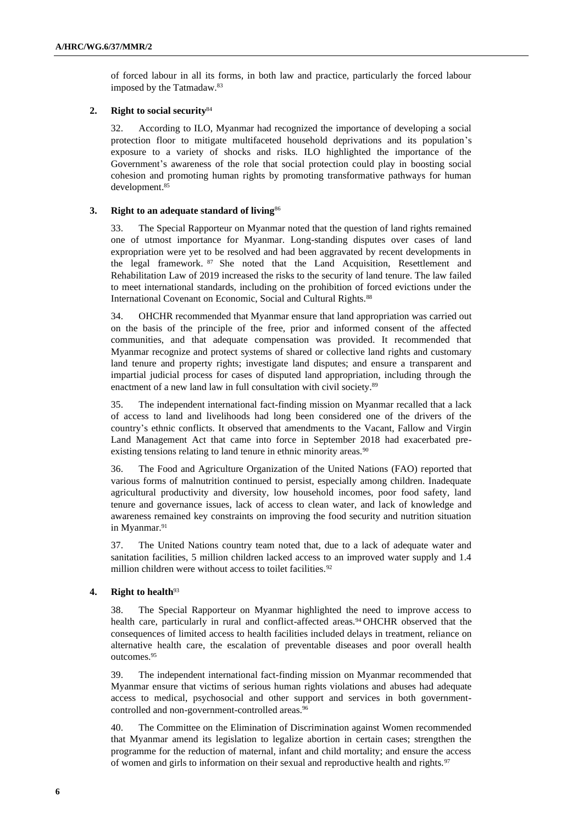of forced labour in all its forms, in both law and practice, particularly the forced labour imposed by the Tatmadaw.<sup>83</sup>

## **2. Right to social security**<sup>84</sup>

32. According to ILO, Myanmar had recognized the importance of developing a social protection floor to mitigate multifaceted household deprivations and its population's exposure to a variety of shocks and risks. ILO highlighted the importance of the Government's awareness of the role that social protection could play in boosting social cohesion and promoting human rights by promoting transformative pathways for human development. 85

# **3. Right to an adequate standard of living**<sup>86</sup>

33. The Special Rapporteur on Myanmar noted that the question of land rights remained one of utmost importance for Myanmar. Long-standing disputes over cases of land expropriation were yet to be resolved and had been aggravated by recent developments in the legal framework. <sup>87</sup> She noted that the Land Acquisition, Resettlement and Rehabilitation Law of 2019 increased the risks to the security of land tenure. The law failed to meet international standards, including on the prohibition of forced evictions under the International Covenant on Economic, Social and Cultural Rights.<sup>88</sup>

34. OHCHR recommended that Myanmar ensure that land appropriation was carried out on the basis of the principle of the free, prior and informed consent of the affected communities, and that adequate compensation was provided. It recommended that Myanmar recognize and protect systems of shared or collective land rights and customary land tenure and property rights; investigate land disputes; and ensure a transparent and impartial judicial process for cases of disputed land appropriation, including through the enactment of a new land law in full consultation with civil society.<sup>89</sup>

35. The independent international fact-finding mission on Myanmar recalled that a lack of access to land and livelihoods had long been considered one of the drivers of the country's ethnic conflicts. It observed that amendments to the Vacant, Fallow and Virgin Land Management Act that came into force in September 2018 had exacerbated preexisting tensions relating to land tenure in ethnic minority areas.<sup>90</sup>

36. The Food and Agriculture Organization of the United Nations (FAO) reported that various forms of malnutrition continued to persist, especially among children. Inadequate agricultural productivity and diversity, low household incomes, poor food safety, land tenure and governance issues, lack of access to clean water, and lack of knowledge and awareness remained key constraints on improving the food security and nutrition situation in Myanmar.<sup>91</sup>

37. The United Nations country team noted that, due to a lack of adequate water and sanitation facilities, 5 million children lacked access to an improved water supply and 1.4 million children were without access to toilet facilities.<sup>92</sup>

# **4. Right to health**<sup>93</sup>

38. The Special Rapporteur on Myanmar highlighted the need to improve access to health care, particularly in rural and conflict-affected areas.<sup>94</sup> OHCHR observed that the consequences of limited access to health facilities included delays in treatment, reliance on alternative health care, the escalation of preventable diseases and poor overall health outcomes.<sup>95</sup>

39. The independent international fact-finding mission on Myanmar recommended that Myanmar ensure that victims of serious human rights violations and abuses had adequate access to medical, psychosocial and other support and services in both governmentcontrolled and non-government-controlled areas.<sup>96</sup>

40. The Committee on the Elimination of Discrimination against Women recommended that Myanmar amend its legislation to legalize abortion in certain cases; strengthen the programme for the reduction of maternal, infant and child mortality; and ensure the access of women and girls to information on their sexual and reproductive health and rights.<sup>97</sup>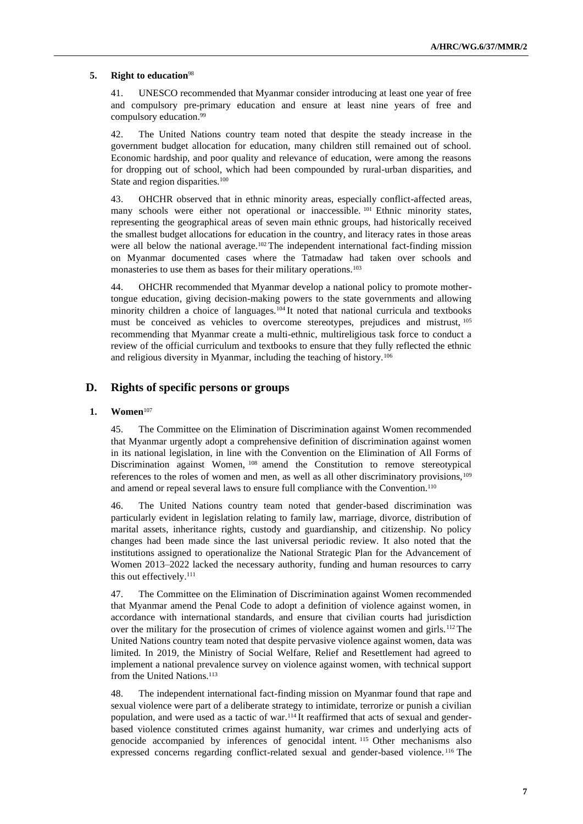# **5. Right to education**<sup>98</sup>

41. UNESCO recommended that Myanmar consider introducing at least one year of free and compulsory pre-primary education and ensure at least nine years of free and compulsory education.<sup>99</sup>

42. The United Nations country team noted that despite the steady increase in the government budget allocation for education, many children still remained out of school. Economic hardship, and poor quality and relevance of education, were among the reasons for dropping out of school, which had been compounded by rural-urban disparities, and State and region disparities.<sup>100</sup>

43. OHCHR observed that in ethnic minority areas, especially conflict-affected areas, many schools were either not operational or inaccessible. <sup>101</sup> Ethnic minority states, representing the geographical areas of seven main ethnic groups, had historically received the smallest budget allocations for education in the country, and literacy rates in those areas were all below the national average.<sup>102</sup> The independent international fact-finding mission on Myanmar documented cases where the Tatmadaw had taken over schools and monasteries to use them as bases for their military operations.<sup>103</sup>

44. OHCHR recommended that Myanmar develop a national policy to promote mothertongue education, giving decision-making powers to the state governments and allowing minority children a choice of languages.<sup>104</sup> It noted that national curricula and textbooks must be conceived as vehicles to overcome stereotypes, prejudices and mistrust, <sup>105</sup> recommending that Myanmar create a multi-ethnic, multireligious task force to conduct a review of the official curriculum and textbooks to ensure that they fully reflected the ethnic and religious diversity in Myanmar, including the teaching of history.<sup>106</sup>

# **D. Rights of specific persons or groups**

### **1. Women**<sup>107</sup>

45. The Committee on the Elimination of Discrimination against Women recommended that Myanmar urgently adopt a comprehensive definition of discrimination against women in its national legislation, in line with the Convention on the Elimination of All Forms of Discrimination against Women, <sup>108</sup> amend the Constitution to remove stereotypical references to the roles of women and men, as well as all other discriminatory provisions,<sup>109</sup> and amend or repeal several laws to ensure full compliance with the Convention.<sup>110</sup>

46. The United Nations country team noted that gender-based discrimination was particularly evident in legislation relating to family law, marriage, divorce, distribution of marital assets, inheritance rights, custody and guardianship, and citizenship. No policy changes had been made since the last universal periodic review. It also noted that the institutions assigned to operationalize the National Strategic Plan for the Advancement of Women 2013–2022 lacked the necessary authority, funding and human resources to carry this out effectively.<sup>111</sup>

47. The Committee on the Elimination of Discrimination against Women recommended that Myanmar amend the Penal Code to adopt a definition of violence against women, in accordance with international standards, and ensure that civilian courts had jurisdiction over the military for the prosecution of crimes of violence against women and girls.<sup>112</sup> The United Nations country team noted that despite pervasive violence against women, data was limited. In 2019, the Ministry of Social Welfare, Relief and Resettlement had agreed to implement a national prevalence survey on violence against women, with technical support from the United Nations.<sup>113</sup>

48. The independent international fact-finding mission on Myanmar found that rape and sexual violence were part of a deliberate strategy to intimidate, terrorize or punish a civilian population, and were used as a tactic of war.<sup>114</sup> It reaffirmed that acts of sexual and genderbased violence constituted crimes against humanity, war crimes and underlying acts of genocide accompanied by inferences of genocidal intent. <sup>115</sup> Other mechanisms also expressed concerns regarding conflict-related sexual and gender-based violence. <sup>116</sup> The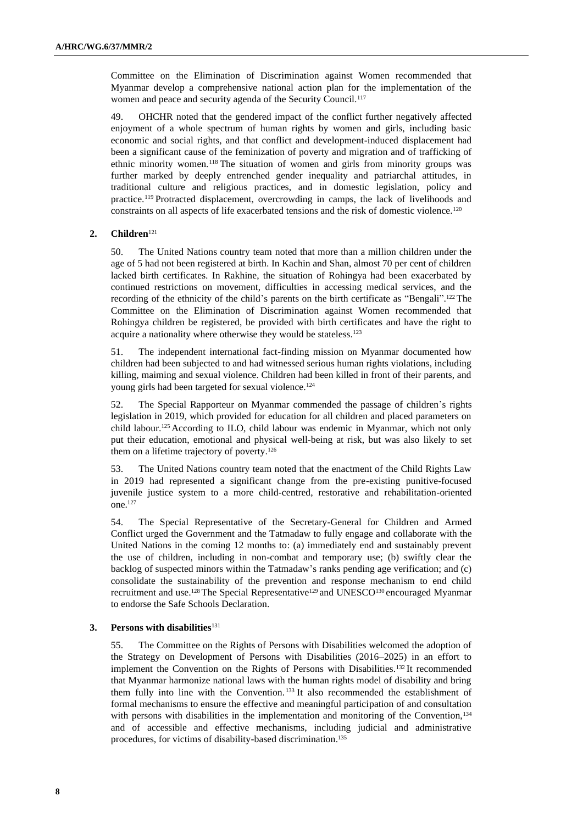Committee on the Elimination of Discrimination against Women recommended that Myanmar develop a comprehensive national action plan for the implementation of the women and peace and security agenda of the Security Council.<sup>117</sup>

49. OHCHR noted that the gendered impact of the conflict further negatively affected enjoyment of a whole spectrum of human rights by women and girls, including basic economic and social rights, and that conflict and development-induced displacement had been a significant cause of the feminization of poverty and migration and of trafficking of ethnic minority women.<sup>118</sup> The situation of women and girls from minority groups was further marked by deeply entrenched gender inequality and patriarchal attitudes, in traditional culture and religious practices, and in domestic legislation, policy and practice.<sup>119</sup> Protracted displacement, overcrowding in camps, the lack of livelihoods and constraints on all aspects of life exacerbated tensions and the risk of domestic violence.<sup>120</sup>

## **2. Children**<sup>121</sup>

50. The United Nations country team noted that more than a million children under the age of 5 had not been registered at birth. In Kachin and Shan, almost 70 per cent of children lacked birth certificates. In Rakhine, the situation of Rohingya had been exacerbated by continued restrictions on movement, difficulties in accessing medical services, and the recording of the ethnicity of the child's parents on the birth certificate as "Bengali".<sup>122</sup> The Committee on the Elimination of Discrimination against Women recommended that Rohingya children be registered, be provided with birth certificates and have the right to acquire a nationality where otherwise they would be stateless.<sup>123</sup>

51. The independent international fact-finding mission on Myanmar documented how children had been subjected to and had witnessed serious human rights violations, including killing, maiming and sexual violence. Children had been killed in front of their parents, and young girls had been targeted for sexual violence.<sup>124</sup>

52. The Special Rapporteur on Myanmar commended the passage of children's rights legislation in 2019, which provided for education for all children and placed parameters on child labour.<sup>125</sup> According to ILO, child labour was endemic in Myanmar, which not only put their education, emotional and physical well-being at risk, but was also likely to set them on a lifetime trajectory of poverty.<sup>126</sup>

53. The United Nations country team noted that the enactment of the Child Rights Law in 2019 had represented a significant change from the pre-existing punitive-focused juvenile justice system to a more child-centred, restorative and rehabilitation-oriented one.<sup>127</sup>

54. The Special Representative of the Secretary-General for Children and Armed Conflict urged the Government and the Tatmadaw to fully engage and collaborate with the United Nations in the coming 12 months to: (a) immediately end and sustainably prevent the use of children, including in non-combat and temporary use; (b) swiftly clear the backlog of suspected minors within the Tatmadaw's ranks pending age verification; and (c) consolidate the sustainability of the prevention and response mechanism to end child recruitment and use.<sup>128</sup> The Special Representative<sup>129</sup> and UNESCO<sup>130</sup> encouraged Myanmar to endorse the Safe Schools Declaration.

## **3. Persons with disabilities**<sup>131</sup>

55. The Committee on the Rights of Persons with Disabilities welcomed the adoption of the Strategy on Development of Persons with Disabilities (2016–2025) in an effort to implement the Convention on the Rights of Persons with Disabilities.<sup>132</sup> It recommended that Myanmar harmonize national laws with the human rights model of disability and bring them fully into line with the Convention. <sup>133</sup> It also recommended the establishment of formal mechanisms to ensure the effective and meaningful participation of and consultation with persons with disabilities in the implementation and monitoring of the Convention,<sup>134</sup> and of accessible and effective mechanisms, including judicial and administrative procedures, for victims of disability-based discrimination. 135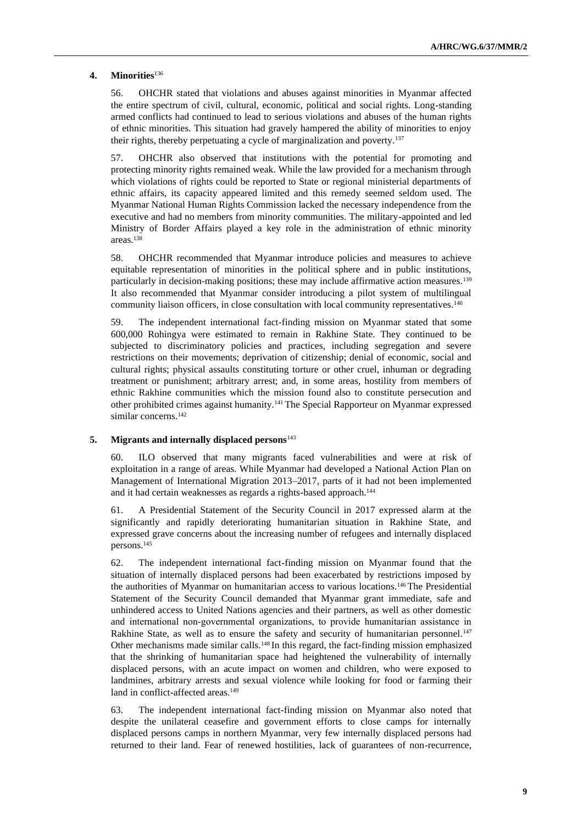## **4. Minorities**<sup>136</sup>

56. OHCHR stated that violations and abuses against minorities in Myanmar affected the entire spectrum of civil, cultural, economic, political and social rights. Long-standing armed conflicts had continued to lead to serious violations and abuses of the human rights of ethnic minorities. This situation had gravely hampered the ability of minorities to enjoy their rights, thereby perpetuating a cycle of marginalization and poverty.<sup>137</sup>

57. OHCHR also observed that institutions with the potential for promoting and protecting minority rights remained weak. While the law provided for a mechanism through which violations of rights could be reported to State or regional ministerial departments of ethnic affairs, its capacity appeared limited and this remedy seemed seldom used. The Myanmar National Human Rights Commission lacked the necessary independence from the executive and had no members from minority communities. The military-appointed and led Ministry of Border Affairs played a key role in the administration of ethnic minority areas.<sup>138</sup>

58. OHCHR recommended that Myanmar introduce policies and measures to achieve equitable representation of minorities in the political sphere and in public institutions, particularly in decision-making positions; these may include affirmative action measures.<sup>139</sup> It also recommended that Myanmar consider introducing a pilot system of multilingual community liaison officers, in close consultation with local community representatives.<sup>140</sup>

59. The independent international fact-finding mission on Myanmar stated that some 600,000 Rohingya were estimated to remain in Rakhine State. They continued to be subjected to discriminatory policies and practices, including segregation and severe restrictions on their movements; deprivation of citizenship; denial of economic, social and cultural rights; physical assaults constituting torture or other cruel, inhuman or degrading treatment or punishment; arbitrary arrest; and, in some areas, hostility from members of ethnic Rakhine communities which the mission found also to constitute persecution and other prohibited crimes against humanity.<sup>141</sup> The Special Rapporteur on Myanmar expressed similar concerns.<sup>142</sup>

## **5. Migrants and internally displaced persons**<sup>143</sup>

60. ILO observed that many migrants faced vulnerabilities and were at risk of exploitation in a range of areas. While Myanmar had developed a National Action Plan on Management of International Migration 2013–2017, parts of it had not been implemented and it had certain weaknesses as regards a rights-based approach.<sup>144</sup>

61. A Presidential Statement of the Security Council in 2017 expressed alarm at the significantly and rapidly deteriorating humanitarian situation in Rakhine State, and expressed grave concerns about the increasing number of refugees and internally displaced persons.<sup>145</sup>

62. The independent international fact-finding mission on Myanmar found that the situation of internally displaced persons had been exacerbated by restrictions imposed by the authorities of Myanmar on humanitarian access to various locations.<sup>146</sup> The Presidential Statement of the Security Council demanded that Myanmar grant immediate, safe and unhindered access to United Nations agencies and their partners, as well as other domestic and international non‑governmental organizations, to provide humanitarian assistance in Rakhine State, as well as to ensure the safety and security of humanitarian personnel.<sup>147</sup> Other mechanisms made similar calls.<sup>148</sup> In this regard, the fact-finding mission emphasized that the shrinking of humanitarian space had heightened the vulnerability of internally displaced persons, with an acute impact on women and children, who were exposed to landmines, arbitrary arrests and sexual violence while looking for food or farming their land in conflict-affected areas.<sup>149</sup>

63. The independent international fact-finding mission on Myanmar also noted that despite the unilateral ceasefire and government efforts to close camps for internally displaced persons camps in northern Myanmar, very few internally displaced persons had returned to their land. Fear of renewed hostilities, lack of guarantees of non-recurrence,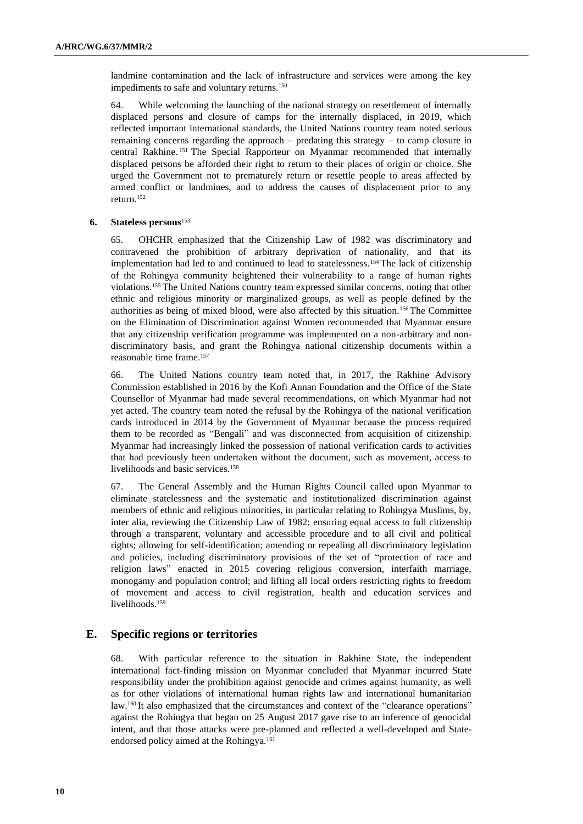landmine contamination and the lack of infrastructure and services were among the key impediments to safe and voluntary returns.<sup>150</sup>

64. While welcoming the launching of the national strategy on resettlement of internally displaced persons and closure of camps for the internally displaced, in 2019, which reflected important international standards, the United Nations country team noted serious remaining concerns regarding the approach – predating this strategy – to camp closure in central Rakhine. <sup>151</sup> The Special Rapporteur on Myanmar recommended that internally displaced persons be afforded their right to return to their places of origin or choice. She urged the Government not to prematurely return or resettle people to areas affected by armed conflict or landmines, and to address the causes of displacement prior to any return.<sup>152</sup>

#### **6. Stateless persons**<sup>153</sup>

65. OHCHR emphasized that the Citizenship Law of 1982 was discriminatory and contravened the prohibition of arbitrary deprivation of nationality, and that its implementation had led to and continued to lead to statelessness.<sup>154</sup> The lack of citizenship of the Rohingya community heightened their vulnerability to a range of human rights violations.<sup>155</sup> The United Nations country team expressed similar concerns, noting that other ethnic and religious minority or marginalized groups, as well as people defined by the authorities as being of mixed blood, were also affected by this situation.<sup>156</sup> The Committee on the Elimination of Discrimination against Women recommended that Myanmar ensure that any citizenship verification programme was implemented on a non-arbitrary and nondiscriminatory basis, and grant the Rohingya national citizenship documents within a reasonable time frame.<sup>157</sup>

66. The United Nations country team noted that, in 2017, the Rakhine Advisory Commission established in 2016 by the Kofi Annan Foundation and the Office of the State Counsellor of Myanmar had made several recommendations, on which Myanmar had not yet acted. The country team noted the refusal by the Rohingya of the national verification cards introduced in 2014 by the Government of Myanmar because the process required them to be recorded as "Bengali" and was disconnected from acquisition of citizenship. Myanmar had increasingly linked the possession of national verification cards to activities that had previously been undertaken without the document, such as movement, access to livelihoods and basic services.<sup>158</sup>

67. The General Assembly and the Human Rights Council called upon Myanmar to eliminate statelessness and the systematic and institutionalized discrimination against members of ethnic and religious minorities, in particular relating to Rohingya Muslims, by, inter alia, reviewing the Citizenship Law of 1982; ensuring equal access to full citizenship through a transparent, voluntary and accessible procedure and to all civil and political rights; allowing for self-identification; amending or repealing all discriminatory legislation and policies, including discriminatory provisions of the set of "protection of race and religion laws" enacted in 2015 covering religious conversion, interfaith marriage, monogamy and population control; and lifting all local orders restricting rights to freedom of movement and access to civil registration, health and education services and livelihoods.<sup>159</sup>

# **E. Specific regions or territories**

68. With particular reference to the situation in Rakhine State, the independent international fact-finding mission on Myanmar concluded that Myanmar incurred State responsibility under the prohibition against genocide and crimes against humanity, as well as for other violations of international human rights law and international humanitarian law.<sup>160</sup> It also emphasized that the circumstances and context of the "clearance operations" against the Rohingya that began on 25 August 2017 gave rise to an inference of genocidal intent, and that those attacks were pre-planned and reflected a well-developed and Stateendorsed policy aimed at the Rohingya.161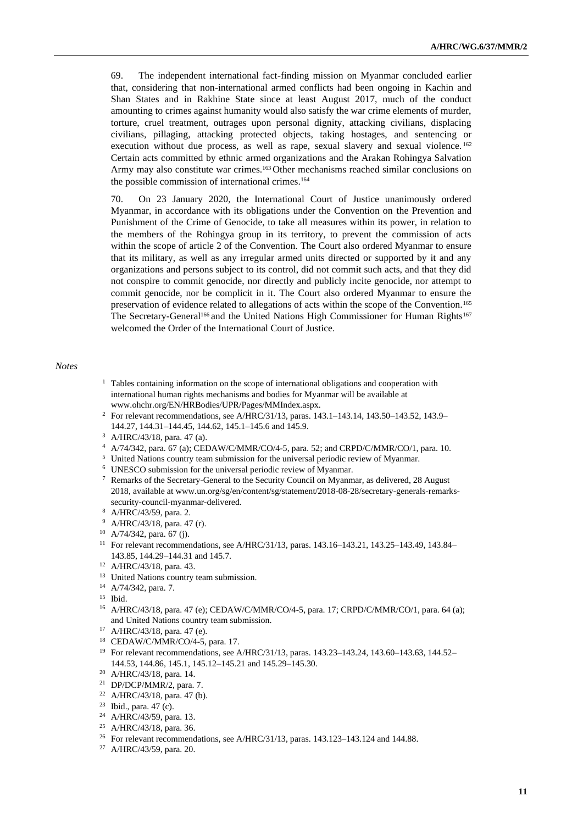69. The independent international fact-finding mission on Myanmar concluded earlier that, considering that non-international armed conflicts had been ongoing in Kachin and Shan States and in Rakhine State since at least August 2017, much of the conduct amounting to crimes against humanity would also satisfy the war crime elements of murder, torture, cruel treatment, outrages upon personal dignity, attacking civilians, displacing civilians, pillaging, attacking protected objects, taking hostages, and sentencing or execution without due process, as well as rape, sexual slavery and sexual violence.<sup>162</sup> Certain acts committed by ethnic armed organizations and the Arakan Rohingya Salvation Army may also constitute war crimes.<sup>163</sup> Other mechanisms reached similar conclusions on the possible commission of international crimes.<sup>164</sup>

70. On 23 January 2020, the International Court of Justice unanimously ordered Myanmar, in accordance with its obligations under the Convention on the Prevention and Punishment of the Crime of Genocide, to take all measures within its power, in relation to the members of the Rohingya group in its territory, to prevent the commission of acts within the scope of article 2 of the Convention. The Court also ordered Myanmar to ensure that its military, as well as any irregular armed units directed or supported by it and any organizations and persons subject to its control, did not commit such acts, and that they did not conspire to commit genocide, nor directly and publicly incite genocide, nor attempt to commit genocide, nor be complicit in it. The Court also ordered Myanmar to ensure the preservation of evidence related to allegations of acts within the scope of the Convention.<sup>165</sup> The Secretary-General<sup>166</sup> and the United Nations High Commissioner for Human Rights<sup>167</sup> welcomed the Order of the International Court of Justice.

#### *Notes*

- <sup>1</sup> Tables containing information on the scope of international obligations and cooperation with international human rights mechanisms and bodies for Myanmar will be available at www.ohchr.org/EN/HRBodies/UPR/Pages/MMIndex.aspx.
- <sup>2</sup> For relevant recommendations, see A/HRC/31/13, paras. 143.1–143.14, 143.50–143.52, 143.9– 144.27, 144.31–144.45, 144.62, 145.1–145.6 and 145.9.
- <sup>3</sup> A/HRC/43/18, para. 47 (a).
- <sup>4</sup> A/74/342, para. 67 (a); CEDAW/C/MMR/CO/4-5, para. 52; and CRPD/C/MMR/CO/1, para. 10.
- <sup>5</sup> United Nations country team submission for the universal periodic review of Myanmar.
- <sup>6</sup> UNESCO submission for the universal periodic review of Myanmar.
- $\frac{7}{1}$  Remarks of the Secretary-General to the Security Council on Myanmar, as delivered, 28 August 2018, available at www.un.org/sg/en/content/sg/statement/2018-08-28/secretary-generals-remarkssecurity-council-myanmar-delivered.
- <sup>8</sup> A/HRC/43/59, para. 2.
- <sup>9</sup> A/HRC/43/18, para. 47 (r).
- <sup>10</sup> A/74/342, para. 67 (j).
- <sup>11</sup> For relevant recommendations, see A/HRC/31/13, paras. 143.16–143.21, 143.25–143.49, 143.84– 143.85, 144.29–144.31 and 145.7.
- <sup>12</sup> A/HRC/43/18, para. 43.
- <sup>13</sup> United Nations country team submission.
- <sup>14</sup> A/74/342, para. 7.
- <sup>15</sup> Ibid.
- <sup>16</sup> A/HRC/43/18, para. 47 (e); CEDAW/C/MMR/CO/4-5, para. 17; CRPD/C/MMR/CO/1, para. 64 (a); and United Nations country team submission.
- <sup>17</sup> A/HRC/43/18, para. 47 (e).
- <sup>18</sup> CEDAW/C/MMR/CO/4-5, para. 17.
- <sup>19</sup> For relevant recommendations, see A/HRC/31/13, paras. 143.23-143.24, 143.60-143.63, 144.52-144.53, 144.86, 145.1, 145.12–145.21 and 145.29–145.30.
- <sup>20</sup> A/HRC/43/18, para. 14.
- <sup>21</sup> DP/DCP/MMR/2, para. 7.
- <sup>22</sup> A/HRC/43/18, para. 47 (b).
- <sup>23</sup> Ibid., para.  $47$  (c).
- <sup>24</sup> A/HRC/43/59, para. 13.
- <sup>25</sup> A/HRC/43/18, para. 36.
- <sup>26</sup> For relevant recommendations, see A/HRC/31/13, paras. 143.123–143.124 and 144.88.
- <sup>27</sup> A/HRC/43/59, para. 20.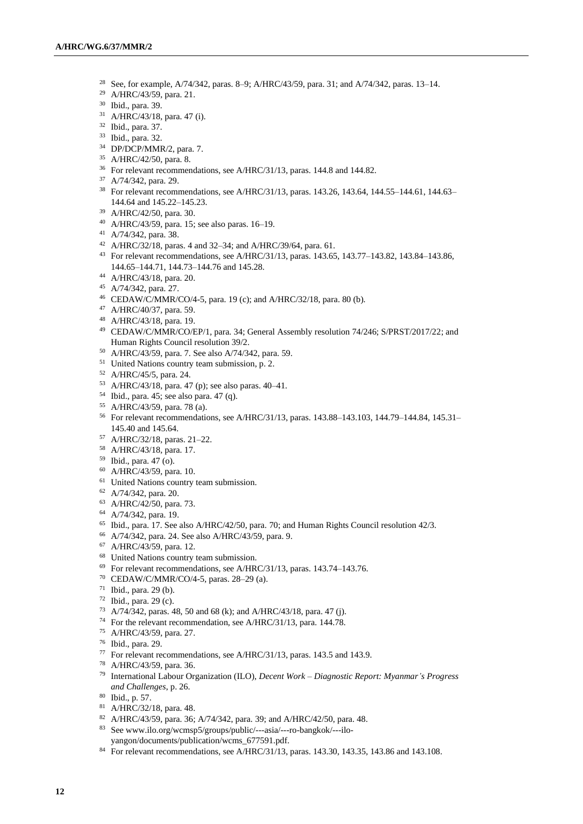- See, for example, A/74/342, paras. 8–9; A/HRC/43/59, para. 31; and A/74/342, paras. 13–14.
- A/HRC/43/59, para. 21.
- Ibid., para. 39.
- A/HRC/43/18, para. 47 (i).
- Ibid., para. 37.
- Ibid., para. 32.
- DP/DCP/MMR/2, para. 7.
- A/HRC/42/50, para. 8.
- For relevant recommendations, see A/HRC/31/13, paras. 144.8 and 144.82.
- A/74/342, para. 29.
- <sup>38</sup> For relevant recommendations, see A/HRC/31/13, paras. 143.26, 143.64, 144.55–144.61, 144.63– 144.64 and 145.22–145.23.
- A/HRC/42/50, para. 30.
- A/HRC/43/59, para. 15; see also paras. 16–19.
- A/74/342, para. 38.
- A/HRC/32/18, paras. 4 and 32–34; and A/HRC/39/64, para. 61.
- For relevant recommendations, see A/HRC/31/13, paras. 143.65, 143.77–143.82, 143.84–143.86, 144.65–144.71, 144.73–144.76 and 145.28.
- A/HRC/43/18, para. 20.
- A/74/342, para. 27.
- CEDAW/C/MMR/CO/4-5, para. 19 (c); and A/HRC/32/18, para. 80 (b).
- A/HRC/40/37, para. 59.
- A/HRC/43/18, para. 19.
- CEDAW/C/MMR/CO/EP/1, para. 34; General Assembly resolution 74/246; S/PRST/2017/22; and Human Rights Council resolution 39/2.
- A/HRC/43/59, para. 7. See also A/74/342, para. 59.
- <sup>51</sup> United Nations country team submission, p. 2.
- A/HRC/45/5, para. 24.
- A/HRC/43/18, para. 47 (p); see also paras. 40–41.
- Ibid., para. 45; see also para. 47 (q).
- A/HRC/43/59, para. 78 (a).
- For relevant recommendations, see A/HRC/31/13, paras. 143.88–143.103, 144.79–144.84, 145.31– 145.40 and 145.64.
- A/HRC/32/18, paras. 21–22.
- A/HRC/43/18, para. 17.
- Ibid., para. 47 (o).
- A/HRC/43/59, para. 10.
- <sup>61</sup> United Nations country team submission.
- A/74/342, para. 20.
- A/HRC/42/50, para. 73.
- A/74/342, para. 19.
- Ibid., para. 17. See also A/HRC/42/50, para. 70; and Human Rights Council resolution 42/3.
- A/74/342, para. 24. See also A/HRC/43/59, para. 9.
- A/HRC/43/59, para. 12.
- United Nations country team submission.
- For relevant recommendations, see A/HRC/31/13, paras. 143.74–143.76.
- CEDAW/C/MMR/CO/4-5, paras. 28–29 (a).
- Ibid., para. 29 (b).
- Ibid., para. 29 (c).
- A/74/342, paras. 48, 50 and 68 (k); and A/HRC/43/18, para. 47 (j).
- For the relevant recommendation, see A/HRC/31/13, para. 144.78.
- A/HRC/43/59, para. 27.
- Ibid., para. 29.
- For relevant recommendations, see A/HRC/31/13, paras. 143.5 and 143.9.
- A/HRC/43/59, para. 36.
- International Labour Organization (ILO), *Decent Work – Diagnostic Report: Myanmar's Progress and Challenges*, p. 26.
- Ibid., p. 57.
- A/HRC/32/18, para. 48.
- A/HRC/43/59, para. 36; A/74/342, para. 39; and A/HRC/42/50, para. 48.
- See www.ilo.org/wcmsp5/groups/public/---asia/---ro-bangkok/---iloyangon/documents/publication/wcms\_677591.pdf.
- For relevant recommendations, see A/HRC/31/13, paras. 143.30, 143.35, 143.86 and 143.108.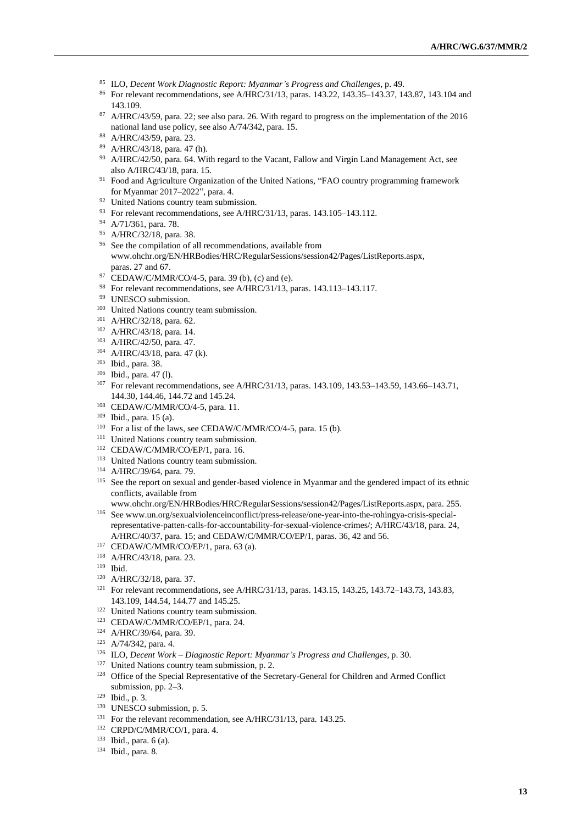- <sup>85</sup> ILO, *Decent Work Diagnostic Report: Myanmar's Progress and Challenges*, p. 49.
- <sup>86</sup> For relevant recommendations, see A/HRC/31/13, paras. 143.22, 143.35–143.37, 143.87, 143.104 and 143.109.
- <sup>87</sup> A/HRC/43/59, para. 22; see also para. 26. With regard to progress on the implementation of the 2016 national land use policy, see also A/74/342, para. 15.
- <sup>88</sup> A/HRC/43/59, para. 23.
- <sup>89</sup> A/HRC/43/18, para. 47 (h).
- <sup>90</sup> A/HRC/42/50, para. 64. With regard to the Vacant, Fallow and Virgin Land Management Act, see also A/HRC/43/18, para. 15.
- <sup>91</sup> Food and Agriculture Organization of the United Nations, "FAO country programming framework for Myanmar 2017–2022", para. 4.
- <sup>92</sup> United Nations country team submission.
- <sup>93</sup> For relevant recommendations, see A/HRC/31/13, paras. 143.105–143.112.
- <sup>94</sup> A/71/361, para. 78.
- <sup>95</sup> A/HRC/32/18, para. 38.
- <sup>96</sup> See the compilation of all recommendations, available from www.ohchr.org/EN/HRBodies/HRC/RegularSessions/session42/Pages/ListReports.aspx, paras. 27 and 67.
- <sup>97</sup> CEDAW/C/MMR/CO/4-5, para. 39 (b), (c) and (e).
- <sup>98</sup> For relevant recommendations, see A/HRC/31/13, paras. 143.113–143.117.
- <sup>99</sup> UNESCO submission.
- <sup>100</sup> United Nations country team submission.
- <sup>101</sup> A/HRC/32/18, para. 62.
- <sup>102</sup> A/HRC/43/18, para. 14.
- <sup>103</sup> A/HRC/42/50, para. 47.
- <sup>104</sup> A/HRC/43/18, para. 47 (k).
- <sup>105</sup> Ibid., para. 38.
- <sup>106</sup> Ibid., para. 47 (l).
- <sup>107</sup> For relevant recommendations, see A/HRC/31/13, paras. 143.109, 143.53–143.59, 143.66–143.71, 144.30, 144.46, 144.72 and 145.24.
- <sup>108</sup> CEDAW/C/MMR/CO/4-5, para. 11.
- <sup>109</sup> Ibid., para. 15 (a).
- $110$  For a list of the laws, see CEDAW/C/MMR/CO/4-5, para. 15 (b).
- <sup>111</sup> United Nations country team submission.
- <sup>112</sup> CEDAW/C/MMR/CO/EP/1, para. 16.
- <sup>113</sup> United Nations country team submission.
- <sup>114</sup> A/HRC/39/64, para. 79.
- <sup>115</sup> See the report on sexual and gender-based violence in Myanmar and the gendered impact of its ethnic conflicts, available from
- www.ohchr.org/EN/HRBodies/HRC/RegularSessions/session42/Pages/ListReports.aspx, para. 255. <sup>116</sup> See www.un.org/sexualviolenceinconflict/press-release/one-year-into-the-rohingya-crisis-special
	- representative-patten-calls-for-accountability-for-sexual-violence-crimes/; A/HRC/43/18, para. 24, A/HRC/40/37, para. 15; and CEDAW/C/MMR/CO/EP/1, paras. 36, 42 and 56.
- <sup>117</sup> CEDAW/C/MMR/CO/EP/1, para. 63 (a).
- <sup>118</sup> A/HRC/43/18, para. 23.
- <sup>119</sup> Ibid.
- <sup>120</sup> A/HRC/32/18, para. 37.
- <sup>121</sup> For relevant recommendations, see A/HRC/31/13, paras. 143.15, 143.25, 143.72–143.73, 143.83, 143.109, 144.54, 144.77 and 145.25.
- <sup>122</sup> United Nations country team submission.
- <sup>123</sup> CEDAW/C/MMR/CO/EP/1, para. 24.
- <sup>124</sup> A/HRC/39/64, para. 39.
- <sup>125</sup> A/74/342, para. 4.
- <sup>126</sup> ILO, *Decent Work – Diagnostic Report: Myanmar's Progress and Challenges*, p. 30.
- <sup>127</sup> United Nations country team submission, p. 2.
- <sup>128</sup> Office of the Special Representative of the Secretary-General for Children and Armed Conflict submission, pp. 2–3.
- <sup>129</sup> Ibid., p. 3.
- <sup>130</sup> UNESCO submission, p. 5.
- <sup>131</sup> For the relevant recommendation, see A/HRC/31/13, para. 143.25.
- <sup>132</sup> CRPD/C/MMR/CO/1, para. 4.
- <sup>133</sup> Ibid., para. 6 (a).
- <sup>134</sup> Ibid., para. 8.